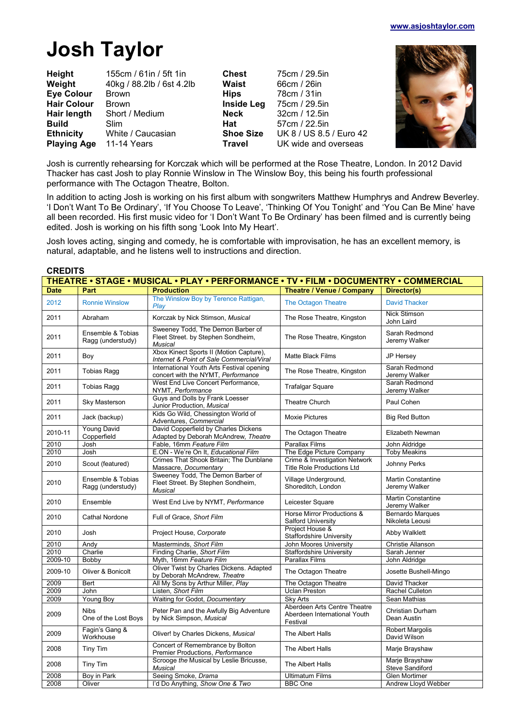# **Josh Taylor**

| Height<br>Weight   | 155cm / 61in / 5ft 1in<br>40kg / 88.2lb / 6st 4.2lb | <b>Chest</b><br>Waist | 75cm / 29.5in<br>66cm / 26in |
|--------------------|-----------------------------------------------------|-----------------------|------------------------------|
| <b>Eye Colour</b>  | <b>Brown</b>                                        | <b>Hips</b>           | 78cm / 31in                  |
| <b>Hair Colour</b> | <b>Brown</b>                                        | <b>Inside Leg</b>     | 75cm / 29.5in                |
| Hair length        | Short / Medium                                      | <b>Neck</b>           | 32cm / 12.5in                |
| <b>Build</b>       | <b>Slim</b>                                         | Hat                   | 57cm / 22.5in                |
| <b>Ethnicity</b>   | White / Caucasian                                   | <b>Shoe Size</b>      | UK 8 / US 8.5 / Euro 42      |
| <b>Playing Age</b> | 11-14 Years                                         | <b>Travel</b>         | UK wide and overseas         |



Josh is currently rehearsing for Korczak which will be performed at the Rose Theatre, London. In 2012 David Thacker has cast Josh to play Ronnie Winslow in The Winslow Boy, this being his fourth professional performance with The Octagon Theatre, Bolton.

In addition to acting Josh is working on his first album with songwriters Matthew Humphrys and Andrew Beverley. 'I Don't Want To Be Ordinary', 'If You Choose To Leave', 'Thinking Of You Tonight' and 'You Can Be Mine' have all been recorded. His first music video for 'I Don't Want To Be Ordinary' has been filmed and is currently being edited. Josh is working on his fifth song 'Look Into My Heart'.

Josh loves acting, singing and comedy, he is comfortable with improvisation, he has an excellent memory, is natural, adaptable, and he listens well to instructions and direction.

#### **CREDITS**

| THEATRE • STAGE • MUSICAL • PLAY • PERFORMANCE • TV • FILM • DOCUMENTRY • COMMERCIAL |                                        |                                                                                           |                                                                          |                                            |
|--------------------------------------------------------------------------------------|----------------------------------------|-------------------------------------------------------------------------------------------|--------------------------------------------------------------------------|--------------------------------------------|
| <b>Date</b>                                                                          | Part                                   | <b>Production</b>                                                                         | Theatre / Venue / Company                                                | Director(s)                                |
| 2012                                                                                 | <b>Ronnie Winslow</b>                  | The Winslow Boy by Terence Rattigan,<br>Plav                                              | The Octagon Theatre                                                      | <b>David Thacker</b>                       |
| 2011                                                                                 | Abraham                                | Korczak by Nick Stimson, Musical                                                          | The Rose Theatre, Kingston                                               | <b>Nick Stimson</b><br>John Laird          |
| 2011                                                                                 | Ensemble & Tobias<br>Ragg (understudy) | Sweeney Todd, The Demon Barber of<br>Fleet Street. by Stephen Sondheim,<br><b>Musical</b> | The Rose Theatre, Kingston                                               | Sarah Redmond<br>Jeremy Walker             |
| 2011                                                                                 | Boy                                    | Xbox Kinect Sports II (Motion Capture),<br>Internet & Point of Sale Commercial/Viral      | <b>Matte Black Films</b>                                                 | JP Hersey                                  |
| 2011                                                                                 | <b>Tobias Ragg</b>                     | International Youth Arts Festival opening<br>concert with the NYMT, Performance           | The Rose Theatre, Kingston                                               | Sarah Redmond<br>Jeremy Walker             |
| 2011                                                                                 | <b>Tobias Ragg</b>                     | West End Live Concert Performance.<br>NYMT, Performance                                   | <b>Trafalgar Square</b>                                                  | Sarah Redmond<br>Jeremy Walker             |
| 2011                                                                                 | Sky Masterson                          | Guys and Dolls by Frank Loesser<br>Junior Production, Musical                             | Theatre Church                                                           | Paul Cohen                                 |
| 2011                                                                                 | Jack (backup)                          | Kids Go Wild, Chessington World of<br>Adventures, Commercial                              | <b>Moxie Pictures</b>                                                    | <b>Big Red Button</b>                      |
| 2010-11                                                                              | <b>Young David</b><br>Copperfield      | David Copperfield by Charles Dickens<br>Adapted by Deborah McAndrew, Theatre              | The Octagon Theatre                                                      | Elizabeth Newman                           |
| 2010                                                                                 | Josh                                   | Fable, 16mm Feature Film                                                                  | <b>Parallax Films</b>                                                    | John Aldridge                              |
| 2010                                                                                 | Josh                                   | E.ON - We're On It, Educational Film                                                      | The Edge Picture Company                                                 | <b>Toby Meakins</b>                        |
| 2010                                                                                 | Scout (featured)                       | Crimes That Shook Britain; The Dunblane<br>Massacre, Documentary                          | Crime & Investigation Network<br><b>Title Role Productions Ltd</b>       | Johnny Perks                               |
| 2010                                                                                 | Ensemble & Tobias<br>Ragg (understudy) | Sweeney Todd, The Demon Barber of<br>Fleet Street. By Stephen Sondheim,<br><b>Musical</b> | Village Underground,<br>Shoreditch, London                               | <b>Martin Constantine</b><br>Jeremy Walker |
| 2010                                                                                 | Ensemble                               | West End Live by NYMT, Performance                                                        | Leicester Square                                                         | <b>Martin Constantine</b><br>Jeremy Walker |
| 2010                                                                                 | <b>Cathal Nordone</b>                  | Full of Grace, Short Film                                                                 | Horse Mirror Productions &<br>Salford University                         | Bernardo Marques<br>Nikoleta Leousi        |
| 2010                                                                                 | Josh                                   | Project House, Corporate                                                                  | Project House &<br>Staffordshire University                              | Abby Walklett                              |
| 2010                                                                                 | Andy                                   | Masterminds, Short Film                                                                   | John Moores University                                                   | Christie Allanson                          |
| 2010                                                                                 | Charlie                                | Finding Charlie, Short Film                                                               | <b>Staffordshire University</b>                                          | Sarah Jenner                               |
| 2009-10                                                                              | Bobby                                  | Myth, 16mm Feature Film                                                                   | <b>Parallax Films</b>                                                    | John Aldridge                              |
| 2009-10                                                                              | Oliver & Bonicolt                      | Oliver Twist by Charles Dickens. Adapted<br>by Deborah McAndrew, Theatre                  | The Octagon Theatre                                                      | Josette Bushell-Mingo                      |
| 2009                                                                                 | Bert                                   | All My Sons by Arthur Miller, Play                                                        | The Octagon Theatre                                                      | David Thacker                              |
| 2009                                                                                 | John                                   | Listen, Short Film                                                                        | <b>Uclan Preston</b>                                                     | Rachel Culleton                            |
| 2009                                                                                 | Young Boy                              | Waiting for Godot, Documentary                                                            | Sky Arts                                                                 | Sean Mathias                               |
| 2009                                                                                 | <b>Nibs</b><br>One of the Lost Boys    | Peter Pan and the Awfully Big Adventure<br>by Nick Simpson, Musical                       | Aberdeen Arts Centre Theatre<br>Aberdeen International Youth<br>Festival | Christian Durham<br>Dean Austin            |
| 2009                                                                                 | Fagin's Gang &<br>Workhouse            | Oliver! by Charles Dickens, Musical                                                       | The Albert Halls                                                         | <b>Robert Margolis</b><br>David Wilson     |
| 2008                                                                                 | Tiny Tim                               | Concert of Remembrance by Bolton<br>Premier Productions, Performance                      | The Albert Halls                                                         | Marje Brayshaw                             |
| 2008                                                                                 | Tiny Tim                               | Scrooge the Musical by Leslie Bricusse,<br><b>Musical</b>                                 | The Albert Halls                                                         | Marje Brayshaw<br>Steve Sandiford          |
| 2008                                                                                 | Boy in Park                            | Seeing Smoke, Drama                                                                       | <b>Ultimatum Films</b>                                                   | <b>Glen Mortimer</b>                       |
| 2008                                                                                 | Oliver                                 | I'd Do Anything, Show One & Two                                                           | <b>BBC</b> One                                                           | Andrew Lloyd Webber                        |
|                                                                                      |                                        |                                                                                           |                                                                          |                                            |